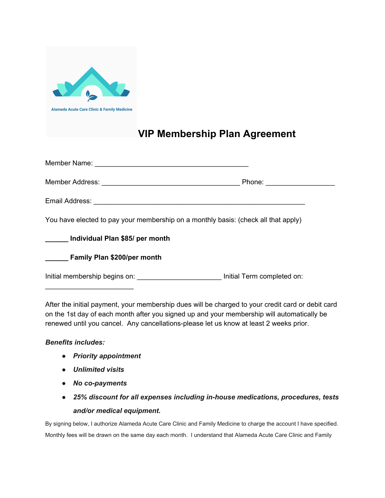

## **VIP Membership Plan Agreement**

|                                                                                    | Phone: ______________________ |
|------------------------------------------------------------------------------------|-------------------------------|
|                                                                                    |                               |
| You have elected to pay your membership on a monthly basis: (check all that apply) |                               |
| ______ Individual Plan \$85/ per month                                             |                               |
| <b>Example 1</b> Family Plan \$200/per month                                       |                               |
| Initial membership begins on: Initial Term completed on:                           |                               |

After the initial payment, your membership dues will be charged to your credit card or debit card on the 1st day of each month after you signed up and your membership will automatically be renewed until you cancel. Any cancellations-please let us know at least 2 weeks prior.

## *Benefits includes:*

- *● Priority appointment*
- *● Unlimited visits*
- *● No co-payments*
- *● 25% discount for all expenses including in-house medications, procedures, tests and/or medical equipment.*

By signing below, I authorize Alameda Acute Care Clinic and Family Medicine to charge the account I have specified. Monthly fees will be drawn on the same day each month. I understand that Alameda Acute Care Clinic and Family